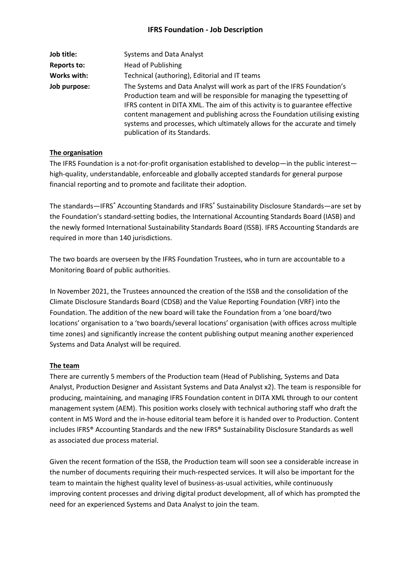# **IFRS Foundation - Job Description**

| Job title:         | <b>Systems and Data Analyst</b>                                                                                                                                                                                                                                                                                                                                                                                                 |
|--------------------|---------------------------------------------------------------------------------------------------------------------------------------------------------------------------------------------------------------------------------------------------------------------------------------------------------------------------------------------------------------------------------------------------------------------------------|
| <b>Reports to:</b> | <b>Head of Publishing</b>                                                                                                                                                                                                                                                                                                                                                                                                       |
| Works with:        | Technical (authoring), Editorial and IT teams                                                                                                                                                                                                                                                                                                                                                                                   |
| Job purpose:       | The Systems and Data Analyst will work as part of the IFRS Foundation's<br>Production team and will be responsible for managing the typesetting of<br>IFRS content in DITA XML. The aim of this activity is to guarantee effective<br>content management and publishing across the Foundation utilising existing<br>systems and processes, which ultimately allows for the accurate and timely<br>publication of its Standards. |

#### **The organisation**

The IFRS Foundation is a not-for-profit organisation established to develop—in the public interest high-quality, understandable, enforceable and globally accepted standards for general purpose financial reporting and to promote and facilitate their adoption.

The standards—IFRS® Accounting Standards and IFRS® Sustainability Disclosure Standards—are set by the Foundation's standard-setting bodies, the International Accounting Standards Board (IASB) and the newly formed International Sustainability Standards Board (ISSB). IFRS Accounting Standards are required in more than 140 jurisdictions.

The two boards are overseen by the IFRS Foundation Trustees, who in turn are accountable to a Monitoring Board of public authorities.

In November 2021, the Trustees announced the creation of the ISSB and the consolidation of the Climate Disclosure Standards Board (CDSB) and the Value Reporting Foundation (VRF) into the Foundation. The addition of the new board will take the Foundation from a 'one board/two locations' organisation to a 'two boards/several locations' organisation (with offices across multiple time zones) and significantly increase the content publishing output meaning another experienced Systems and Data Analyst will be required.

#### **The team**

There are currently 5 members of the Production team (Head of Publishing, Systems and Data Analyst, Production Designer and Assistant Systems and Data Analyst x2). The team is responsible for producing, maintaining, and managing IFRS Foundation content in DITA XML through to our content management system (AEM). This position works closely with technical authoring staff who draft the content in MS Word and the in-house editorial team before it is handed over to Production. Content includes IFRS® Accounting Standards and the new IFRS® Sustainability Disclosure Standards as well as associated due process material.

Given the recent formation of the ISSB, the Production team will soon see a considerable increase in the number of documents requiring their much-respected services. It will also be important for the team to maintain the highest quality level of business-as-usual activities, while continuously improving content processes and driving digital product development, all of which has prompted the need for an experienced Systems and Data Analyst to join the team.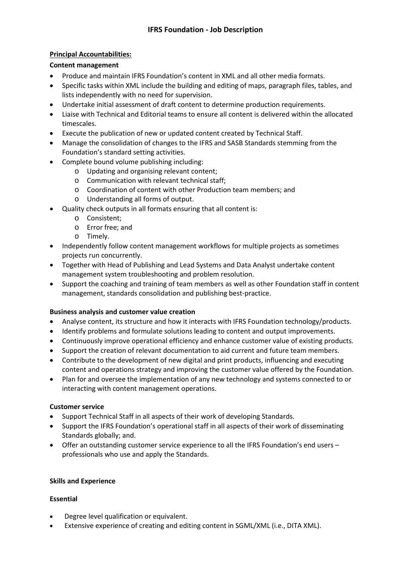## **Principal Accountabilities:**

#### **Content management**

- Produce and maintain IFRS Foundation's content in XML and all other media formats.
- Specific tasks within XML include the building and editing of maps, paragraph files, tables, and lists independently with no need for supervision.
- Undertake initial assessment of draft content to determine production requirements.
- Liaise with Technical and Editorial teams to ensure all content is delivered within the allocated timescales.
- Execute the publication of new or updated content created by Technical Staff.
- Manage the consolidation of changes to the IFRS and SASB Standards stemming from the Foundation's standard setting activities.
- Complete bound volume publishing including:
	- o Updating and organising relevant content;
	- o Communication with relevant technical staff;
	- o Coordination of content with other Production team members; and
	- o Understanding all forms of output.
- Quality check outputs in all formats ensuring that all content is:
	- o Consistent;
	- o Error free; and
	- o Timely.
- Independently follow content management workflows for multiple projects as sometimes projects run concurrently.
- Together with Head of Publishing and Lead Systems and Data Analyst undertake content management system troubleshooting and problem resolution.
- Support the coaching and training of team members as well as other Foundation staff in content management, standards consolidation and publishing best-practice.

# **Business analysis and customer value creation**

- Analyse content, its structure and how it interacts with IFRS Foundation technology/products.
- Identify problems and formulate solutions leading to content and output improvements.
- Continuously improve operational efficiency and enhance customer value of existing products.
- Support the creation of relevant documentation to aid current and future team members.
- Contribute to the development of new digital and print products, influencing and executing content and operations strategy and improving the customer value offered by the Foundation.
- Plan for and oversee the implementation of any new technology and systems connected to or interacting with content management operations.

# **Customer service**

- Support Technical Staff in all aspects of their work of developing Standards.
- Support the IFRS Foundation's operational staff in all aspects of their work of disseminating Standards globally; and.
- Offer an outstanding customer service experience to all the IFRS Foundation's end users professionals who use and apply the Standards.

# **Skills and Experience**

# **Essential**

- Degree level qualification or equivalent.
- Extensive experience of creating and editing content in SGML/XML (i.e., DITA XML).